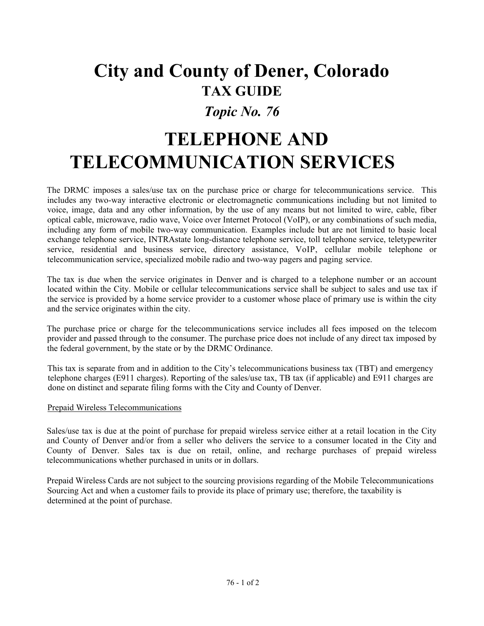# **City and County of Dener, Colorado TAX GUIDE**

### *Topic No. 76*

# **TELEPHONE AND TELECOMMUNICATION SERVICES**

The DRMC imposes a sales/use tax on the purchase price or charge for telecommunications service. This includes any two-way interactive electronic or electromagnetic communications including but not limited to voice, image, data and any other information, by the use of any means but not limited to wire, cable, fiber optical cable, microwave, radio wave, Voice over Internet Protocol (VoIP), or any combinations of such media, including any form of mobile two-way communication. Examples include but are not limited to basic local exchange telephone service, INTRAstate long-distance telephone service, toll telephone service, teletypewriter service, residential and business service, directory assistance, VoIP, cellular mobile telephone or telecommunication service, specialized mobile radio and two-way pagers and paging service.

The tax is due when the service originates in Denver and is charged to a telephone number or an account located within the City. Mobile or cellular telecommunications service shall be subject to sales and use tax if the service is provided by a home service provider to a customer whose place of primary use is within the city and the service originates within the city.

The purchase price or charge for the telecommunications service includes all fees imposed on the telecom provider and passed through to the consumer. The purchase price does not include of any direct tax imposed by the federal government, by the state or by the DRMC Ordinance.

This tax is separate from and in addition to the City's telecommunications business tax (TBT) and emergency telephone charges (E911 charges). Reporting of the sales/use tax, TB tax (if applicable) and E911 charges are done on distinct and separate filing forms with the City and County of Denver.

#### Prepaid Wireless Telecommunications

Sales/use tax is due at the point of purchase for prepaid wireless service either at a retail location in the City and County of Denver and/or from a seller who delivers the service to a consumer located in the City and County of Denver. Sales tax is due on retail, online, and recharge purchases of prepaid wireless telecommunications whether purchased in units or in dollars.

Prepaid Wireless Cards are not subject to the sourcing provisions regarding of the Mobile Telecommunications Sourcing Act and when a customer fails to provide its place of primary use; therefore, the taxability is determined at the point of purchase.